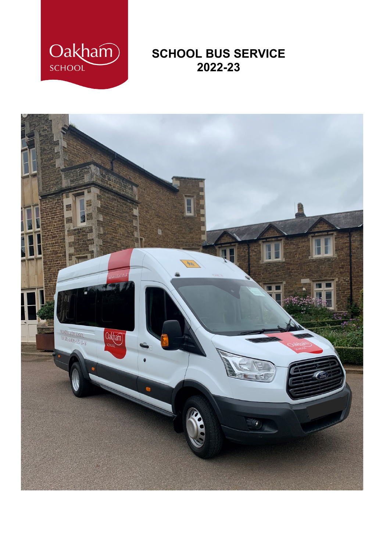

# **SCHOOL BUS SERVICE 2022-23**

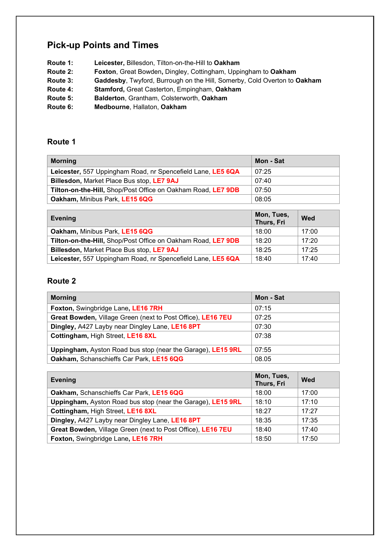## **Pick-up Points and Times**

- **Route 1: Leicester,** Billesdon, Tilton-on-the-Hill to **Oakham**
- **Route 2: Foxton**, Great Bowden**,** Dingley, Cottingham, Uppingham to **Oakham**
- **Route 3: Gaddesby**, Twyford, Burrough on the Hill, Somerby, Cold Overton to **Oakham**
- **Route 4: Stamford,** Great Casterton, Empingham, **Oakham**
- **Route 5: Balderton**, Grantham, Colsterworth, **Oakham**
- **Route 6: Medbourne**, Hallaton, **Oakham**

#### **Route 1**

| <b>Morning</b>                                               | Mon - Sat |
|--------------------------------------------------------------|-----------|
| Leicester, 557 Uppingham Road, nr Spencefield Lane, LE5 6QA  | 07:25     |
| <b>Billesdon, Market Place Bus stop, LE7 9AJ</b>             | 07:40     |
| Tilton-on-the-Hill, Shop/Post Office on Oakham Road, LE7 9DB | 07:50     |
| Oakham, Minibus Park, LE15 6QG                               | 08:05     |
|                                                              |           |

| Evening                                                      | Mon, Tues,<br>Thurs, Fri | Wed   |
|--------------------------------------------------------------|--------------------------|-------|
| Oakham, Minibus Park, LE15 6QG                               | 18:00                    | 17:00 |
| Tilton-on-the-Hill, Shop/Post Office on Oakham Road, LE7 9DB | 18:20                    | 17:20 |
| Billesdon, Market Place Bus stop, LE7 9AJ                    | 18:25                    | 17:25 |
| Leicester, 557 Uppingham Road, nr Spencefield Lane, LE5 6QA  | 18:40                    | 17:40 |

#### **Route 2**

| <b>Morning</b>                                              | Mon - Sat |
|-------------------------------------------------------------|-----------|
| Foxton, Swingbridge Lane, LE16 7RH                          | 07:15     |
| Great Bowden, Village Green (next to Post Office), LE16 7EU | 07:25     |
| Dingley, A427 Layby near Dingley Lane, LE16 8PT             | 07:30     |
| Cottingham, High Street, LE16 8XL                           | 07:38     |
| Uppingham, Ayston Road bus stop (near the Garage), LE15 9RL | 07:55     |
| Oakham, Schanschieffs Car Park, LE15 6QG                    | 08.05     |

| <b>Evening</b>                                              | Mon, Tues,<br>Thurs, Fri | Wed   |
|-------------------------------------------------------------|--------------------------|-------|
| Oakham, Schanschieffs Car Park, LE15 6QG                    | 18:00                    | 17:00 |
| Uppingham, Ayston Road bus stop (near the Garage), LE15 9RL | 18:10                    | 17:10 |
| Cottingham, High Street, LE16 8XL                           | 18:27                    | 17:27 |
| Dingley, A427 Layby near Dingley Lane, LE16 8PT             | 18:35                    | 17:35 |
| Great Bowden, Village Green (next to Post Office), LE16 7EU | 18:40                    | 17:40 |
| Foxton, Swingbridge Lane, LE16 7RH                          | 18:50                    | 17:50 |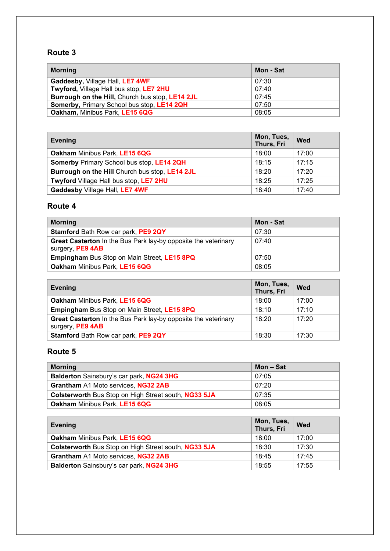## **Route 3**

| <b>Morning</b>                                  | Mon - Sat |
|-------------------------------------------------|-----------|
| Gaddesby, Village Hall, LE7 4WF                 | 07:30     |
| Twyford, Village Hall bus stop, LE7 2HU         | 07:40     |
| Burrough on the Hill, Church bus stop, LE14 2JL | 07:45     |
| Somerby, Primary School bus stop, LE14 2QH      | 07:50     |
| Oakham, Minibus Park, LE15 6QG                  | 08:05     |

| <b>Evening</b>                                   | Mon, Tues,<br>Thurs, Fri | <b>Wed</b> |
|--------------------------------------------------|--------------------------|------------|
| Oakham Minibus Park, LE15 6QG                    | 18:00                    | 17:00      |
| <b>Somerby Primary School bus stop, LE14 2QH</b> | 18:15                    | 17:15      |
| Burrough on the Hill Church bus stop, LE14 2JL   | 18:20                    | 17:20      |
| Twyford Village Hall bus stop, LE7 2HU           | 18:25                    | 17:25      |
| Gaddesby Village Hall, LE7 4WF                   | 18:40                    | 17:40      |

## **Route 4**

| <b>Morning</b>                                                                            | Mon - Sat |
|-------------------------------------------------------------------------------------------|-----------|
| Stamford Bath Row car park, PE9 2QY                                                       | 07:30     |
| <b>Great Casterton</b> In the Bus Park lay-by opposite the veterinary<br>surgery, PE9 4AB | 07:40     |
| <b>Empingham Bus Stop on Main Street, LE15 8PQ</b>                                        | 07:50     |
| Oakham Minibus Park, LE15 6QG                                                             | 08:05     |

| <b>Evening</b>                                                                     | Mon, Tues,<br>Thurs, Fri | Wed   |
|------------------------------------------------------------------------------------|--------------------------|-------|
| Oakham Minibus Park, LE15 6QG                                                      | 18:00                    | 17:00 |
| <b>Empingham Bus Stop on Main Street, LE15 8PQ</b>                                 | 18:10                    | 17:10 |
| Great Casterton In the Bus Park lay-by opposite the veterinary<br>surgery, PE9 4AB | 18:20                    | 17:20 |
| Stamford Bath Row car park, PE9 2QY                                                | 18:30                    | 17:30 |

### **Route 5**

| <b>Morning</b>                                       | Mon – Sat |
|------------------------------------------------------|-----------|
| Balderton Sainsbury's car park, NG24 3HG             | 07:05     |
| Grantham A1 Moto services, NG32 2AB                  | 07:20     |
| Colsterworth Bus Stop on High Street south, NG33 5JA | 07:35     |
| <b>Oakham Minibus Park, LE15 6QG</b>                 | 08:05     |

| <b>Evening</b>                                       | Mon, Tues,<br>Thurs, Fri | <b>Wed</b> |
|------------------------------------------------------|--------------------------|------------|
| Oakham Minibus Park, LE15 6QG                        | 18:00                    | 17:00      |
| Colsterworth Bus Stop on High Street south, NG33 5JA | 18:30                    | 17:30      |
| Grantham A1 Moto services, NG32 2AB                  | 18:45                    | 17:45      |
| Balderton Sainsbury's car park, NG24 3HG             | 18:55                    | 17:55      |